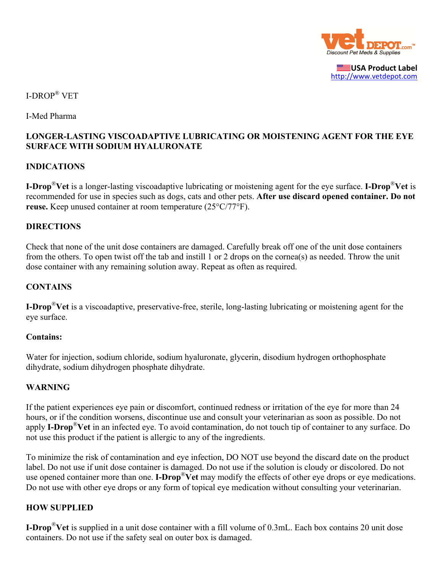

**USA Product Label** http://www.vetdepot.com

I-DROP® VET

I-Med Pharma

# **LONGER-LASTING VISCOADAPTIVE LUBRICATING OR MOISTENING AGENT FOR THE EYE SURFACE WITH SODIUM HYALURONATE**

# **INDICATIONS**

**I-Drop**®**Vet** is a longer-lasting viscoadaptive lubricating or moistening agent for the eye surface. **I-Drop**®**Vet** is recommended for use in species such as dogs, cats and other pets. **After use discard opened container. Do not reuse.** Keep unused container at room temperature (25°C/77°F).

### **DIRECTIONS**

Check that none of the unit dose containers are damaged. Carefully break off one of the unit dose containers from the others. To open twist off the tab and instill 1 or 2 drops on the cornea(s) as needed. Throw the unit dose container with any remaining solution away. Repeat as often as required.

## **CONTAINS**

**I-Drop**®**Vet** is a viscoadaptive, preservative-free, sterile, long-lasting lubricating or moistening agent for the eye surface.

#### **Contains:**

Water for injection, sodium chloride, sodium hyaluronate, glycerin, disodium hydrogen orthophosphate dihydrate, sodium dihydrogen phosphate dihydrate.

#### **WARNING**

If the patient experiences eye pain or discomfort, continued redness or irritation of the eye for more than 24 hours, or if the condition worsens, discontinue use and consult your veterinarian as soon as possible. Do not apply **I-Drop**®**Vet** in an infected eye. To avoid contamination, do not touch tip of container to any surface. Do not use this product if the patient is allergic to any of the ingredients.

To minimize the risk of contamination and eye infection, DO NOT use beyond the discard date on the product label. Do not use if unit dose container is damaged. Do not use if the solution is cloudy or discolored. Do not use opened container more than one. **I-Drop**®**Vet** may modify the effects of other eye drops or eye medications. Do not use with other eye drops or any form of topical eye medication without consulting your veterinarian.

#### **HOW SUPPLIED**

**I-Drop**®**Vet** is supplied in a unit dose container with a fill volume of 0.3mL. Each box contains 20 unit dose containers. Do not use if the safety seal on outer box is damaged.